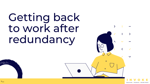# Getting back to work after redundancy

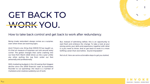### GET BACK TO WORK YOU.

#### How to take back control and get back to work after redundancy.

Being made redundant always comes as a surprise; even when there are warning signs.

And if there's one thing that COVID-19 has taught us, it's that all measure of surprises can lurk around every corner. The global changes that came crashing into our lives from March 2020 drove us into a year unlike any other; pulling the rug from under our feet personally and professionally.

With marketing budgets in the UK seeing their biggest decline since the 2009 financial crash as businesses flounder to cut spending1, the result is a number of marketers and creatives suddenly out of work.

But, instead of admitting defeat, this is an opportunity to start fresh and embrace the change. To take a look at your strong points, your skills and experience, together with what it is you need to thrive. And to get back to work in a more fulfilling career than ever before. Sound impossible?

Not at all. Here are some actionable steps to get you started.



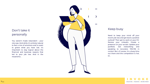#### Don't take it personally

You weren't made redundant - your role was. And while it's entirely natural to feel a mix of emotions and to want to grieve what you have lost, it's important to stay logical about the financial and business reasons that led to your job loss. And in the meantime…



#### Keep busy

Need to keep your mind off your recent job loss and get back a positive outlook? Then get to work on your CV. Review your LinkedIn. Create a presence on your socials. Update your portfolio. Get networking and speaking to recruiters. YOU'RE in control. But, of course, it's a busy time out there and the competition is hot, so…

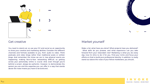

#### Get creative

You need to stand out, so use your CV and social as an opportunity to show your creative and marketing abilities. Consider the different channels and formats available to you, from audio to video. Think podcasts and video blogs rather than traditional posts or written blogs. And remember the times we are in; less physical events are happening, making face-to-face networking difficult; so getting across your personality online is crucial. And, even though you're behind a screen, always be authentic. However, to demonstrate the person you are and the expertise you can offer in a way that stands above the noise means you have to be bold and…

#### Market yourself

Make a list: what have you done? What projects have you delivered? What skills do you possess, and what experience can you take forward from your redundant role? Marketing is what you do every day; now it's time to do it for you. Find your niche and focus your efforts on that to build your professional identity. In addition, to really stand out above the noise of your fellow marketeers, you should...



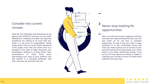#### Consider the current climate

What are the challenges that businesses are up against post COVID-19, and how can you help? Marketing is changing as brands and agencies everywhere are looking to do more with less. There is a big focus on sustainability. Taking things online. There is a much higher awareness of the supply chain after the world came to a standstill at the start of 2020. Showcase your knowledge or abilities in all these areas – have conversations on these focus areas. Demonstrate your value to your audience and stay relevant in a changing landscape. And then, when you do land your new role…



### Never stop looking for opportunities

Now is not the time to get complacent (if there ever was one). Keep striving within your role. Put your hand up for any new or potential opportunity. It's easy to get lost under a heavy workload, or to get comfortable doing only what you need to get by, but it's critical to your personal brand that you stay ahead. It all comes down to one thing: embracing change. If you can do this and develop an ability to adapt to anything, you'll be able to thrive no matter what surprises come your way.